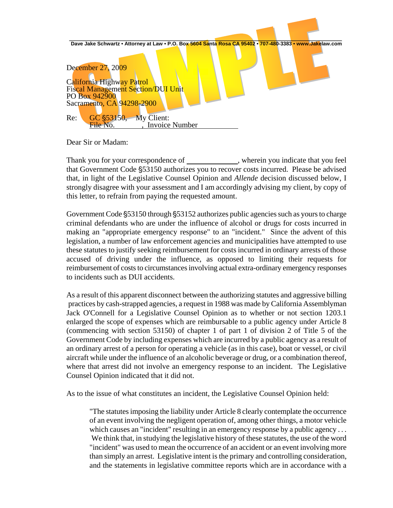

Dear Sir or Madam:

Thank you for your correspondence of \_\_\_\_\_\_\_\_\_\_\_\_\_, wherein you indicate that you feel that Government Code §53150 authorizes you to recover costs incurred. Please be advised that, in light of the Legislative Counsel Opinion and *Allende* decision discussed below, I strongly disagree with your assessment and I am accordingly advising my client, by copy of this letter, to refrain from paying the requested amount.

Government Code  $\S$ 53150 through  $\S$ 53152 authorizes public agencies such as yours to charge criminal defendants who are under the influence of alcohol or drugs for costs incurred in making an "appropriate emergency response" to an "incident." Since the advent of this legislation, a number of law enforcement agencies and municipalities have attempted to use these statutes to justify seeking reimbursement for costs incurred in ordinary arrests of those accused of driving under the influence, as opposed to limiting their requests for reimbursement of costs to circumstances involving actual extra-ordinary emergency responses to incidents such as DUI accidents.

As a result of this apparent disconnect between the authorizing statutes and aggressive billing practices by cash-strapped agencies, a request in 1988 was made by California Assemblyman Jack O'Connell for a Legislative Counsel Opinion as to whether or not section 1203.1 enlarged the scope of expenses which are reimbursable to a public agency under Article 8 (commencing with section 53150) of chapter 1 of part 1 of division 2 of Title 5 of the Government Code by including expenses which are incurred by a public agency as a result of an ordinary arrest of a person for operating a vehicle (as in this case), boat or vessel, or civil aircraft while under the influence of an alcoholic beverage or drug, or a combination thereof, where that arrest did not involve an emergency response to an incident. The Legislative Counsel Opinion indicated that it did not.

As to the issue of what constitutes an incident, the Legislative Counsel Opinion held:

"The statutes imposing the liability under Article 8 clearly contemplate the occurrence of an event involving the negligent operation of, among other things, a motor vehicle which causes an "incident" resulting in an emergency response by a public agency ... We think that, in studying the legislative history of these statutes, the use of the word "incident" was used to mean the occurrence of an accident or an event involving more than simply an arrest. Legislative intent is the primary and controlling consideration, and the statements in legislative committee reports which are in accordance with a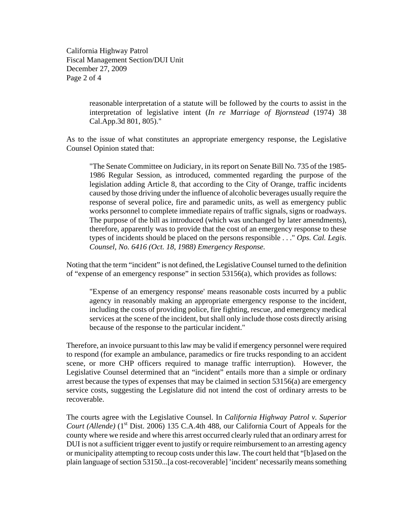California Highway Patrol Fiscal Management Section/DUI Unit December 27, 2009 Page 2 of 4

> reasonable interpretation of a statute will be followed by the courts to assist in the interpretation of legislative intent (*In re Marriage of Bjornstead* (1974) 38 Cal.App.3d 801, 805)."

As to the issue of what constitutes an appropriate emergency response, the Legislative Counsel Opinion stated that:

"The Senate Committee on Judiciary, in its report on Senate Bill No. 735 of the 1985- 1986 Regular Session, as introduced, commented regarding the purpose of the legislation adding Article 8, that according to the City of Orange, traffic incidents caused by those driving under the influence of alcoholic beverages usually require the response of several police, fire and paramedic units, as well as emergency public works personnel to complete immediate repairs of traffic signals, signs or roadways. The purpose of the bill as introduced (which was unchanged by later amendments), therefore, apparently was to provide that the cost of an emergency response to these types of incidents should be placed on the persons responsible . . ." *Ops. Cal. Legis. Counsel, No. 6416 (Oct. 18, 1988) Emergency Response.*

Noting that the term "incident" is not defined, the Legislative Counsel turned to the definition of "expense of an emergency response" in section 53156(a), which provides as follows:

"Expense of an emergency response' means reasonable costs incurred by a public agency in reasonably making an appropriate emergency response to the incident, including the costs of providing police, fire fighting, rescue, and emergency medical services at the scene of the incident, but shall only include those costs directly arising because of the response to the particular incident."

Therefore, an invoice pursuant to this law may be valid if emergency personnel were required to respond (for example an ambulance, paramedics or fire trucks responding to an accident scene, or more CHP officers required to manage traffic interruption). However, the Legislative Counsel determined that an "incident" entails more than a simple or ordinary arrest because the types of expenses that may be claimed in section 53156(a) are emergency service costs, suggesting the Legislature did not intend the cost of ordinary arrests to be recoverable.

The courts agree with the Legislative Counsel. In *California Highway Patrol v. Superior Court (Allende)* (1<sup>st</sup> Dist. 2006) 135 C.A.4th 488, our California Court of Appeals for the county where we reside and where this arrest occurred clearly ruled that an ordinary arrest for DUI is not a sufficient trigger event to justify or require reimbursement to an arresting agency or municipality attempting to recoup costs under this law. The court held that "[b]ased on the plain language of section 53150...[a cost-recoverable] 'incident' necessarily means something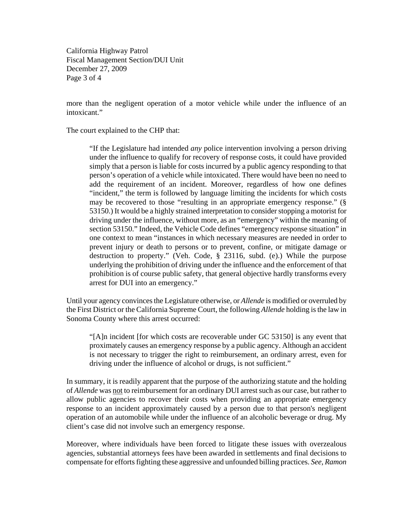California Highway Patrol Fiscal Management Section/DUI Unit December 27, 2009 Page 3 of 4

more than the negligent operation of a motor vehicle while under the influence of an intoxicant"

The court explained to the CHP that:

"If the Legislature had intended *any* police intervention involving a person driving under the influence to qualify for recovery of response costs, it could have provided simply that a person is liable for costs incurred by a public agency responding to that person's operation of a vehicle while intoxicated. There would have been no need to add the requirement of an incident. Moreover, regardless of how one defines "incident," the term is followed by language limiting the incidents for which costs may be recovered to those "resulting in an appropriate emergency response." (§ 53150.) It would be a highly strained interpretation to consider stopping a motorist for driving under the influence, without more, as an "emergency" within the meaning of section 53150." Indeed, the Vehicle Code defines "emergency response situation" in one context to mean "instances in which necessary measures are needed in order to prevent injury or death to persons or to prevent, confine, or mitigate damage or destruction to property." (Veh. Code, § 23116, subd. (e).) While the purpose underlying the prohibition of driving under the influence and the enforcement of that prohibition is of course public safety, that general objective hardly transforms every arrest for DUI into an emergency."

Until your agency convinces the Legislature otherwise, or *Allende* is modified or overruled by the First District or the California Supreme Court, the following *Allende* holding is the law in Sonoma County where this arrest occurred:

"[A]n incident [for which costs are recoverable under GC 53150] is any event that proximately causes an emergency response by a public agency. Although an accident is not necessary to trigger the right to reimbursement, an ordinary arrest, even for driving under the influence of alcohol or drugs, is not sufficient."

In summary, it is readily apparent that the purpose of the authorizing statute and the holding of *Allende* was not to reimbursement for an ordinary DUI arrest such as our case, but rather to allow public agencies to recover their costs when providing an appropriate emergency response to an incident approximately caused by a person due to that person's negligent operation of an automobile while under the influence of an alcoholic beverage or drug. My client's case did not involve such an emergency response.

Moreover, where individuals have been forced to litigate these issues with overzealous agencies, substantial attorneys fees have been awarded in settlements and final decisions to compensate for efforts fighting these aggressive and unfounded billing practices. *See, Ramon*